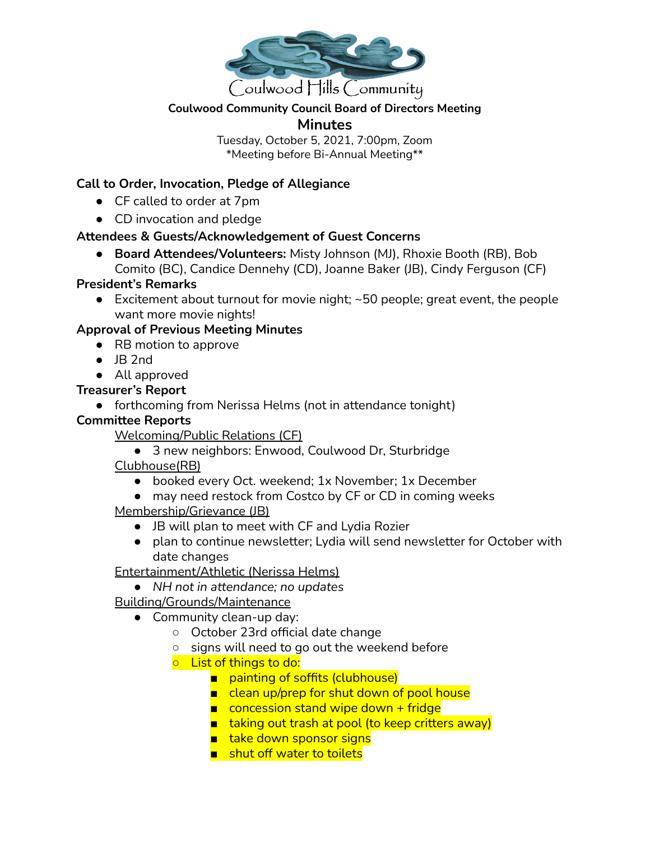

#### **Coulwood Community Council Board of Directors Meeting**

## **Minutes**

Tuesday, October 5, 2021, 7:00pm, Zoom \*Meeting before Bi-Annual Meeting\*\*

#### **Call to Order, Invocation, Pledge of Allegiance**

- CF called to order at 7pm
- CD invocation and pledge

#### **Attendees & Guests/Acknowledgement of Guest Concerns**

● **Board Attendees/Volunteers:** Misty Johnson (MJ), Rhoxie Booth (RB), Bob Comito (BC), Candice Dennehy (CD), Joanne Baker (JB), Cindy Ferguson (CF)

## **President's Remarks**

 $\bullet$  Excitement about turnout for movie night;  $\sim$  50 people; great event, the people want more movie nights!

## **Approval of Previous Meeting Minutes**

- RB motion to approve
- JB 2nd
- All approved

## **Treasurer's Report**

● forthcoming from Nerissa Helms (not in attendance tonight)

# **Committee Reports**

Welcoming/Public Relations (CF)

- 3 new neighbors: Enwood, Coulwood Dr, Sturbridge Clubhouse(RB)
	- booked every Oct. weekend; 1x November; 1x December
	- may need restock from Costco by CF or CD in coming weeks
- Membership/Grievance (JB)
	- JB will plan to meet with CF and Lydia Rozier
	- plan to continue newsletter; Lydia will send newsletter for October with date changes

Entertainment/Athletic (Nerissa Helms)

*● NH not in attendance; no updates*

Building/Grounds/Maintenance

- Community clean-up day:
	- October 23rd official date change
	- signs will need to go out the weekend before
	- List of things to do:
		- painting of soffits (clubhouse)
		- clean up/prep for shut down of pool house
		- $\Box$  concession stand wipe down + fridge
		- taking out trash at pool (to keep critters away)
		- take down sponsor signs
		- shut off water to toilets